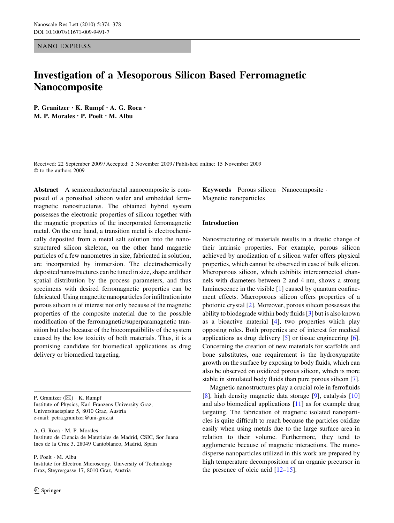NANO EXPRESS

# Investigation of a Mesoporous Silicon Based Ferromagnetic Nanocomposite

P. Granitzer • K. Rumpf • A. G. Roca • M. P. Morales • P. Poelt • M. Albu

Received: 22 September 2009 / Accepted: 2 November 2009 / Published online: 15 November 2009  $©$  to the authors 2009

Abstract A semiconductor/metal nanocomposite is composed of a porosified silicon wafer and embedded ferromagnetic nanostructures. The obtained hybrid system possesses the electronic properties of silicon together with the magnetic properties of the incorporated ferromagnetic metal. On the one hand, a transition metal is electrochemically deposited from a metal salt solution into the nanostructured silicon skeleton, on the other hand magnetic particles of a few nanometres in size, fabricated in solution, are incorporated by immersion. The electrochemically deposited nanostructures can be tuned in size, shape and their spatial distribution by the process parameters, and thus specimens with desired ferromagnetic properties can be fabricated. Using magnetite nanoparticles for infiltration into porous silicon is of interest not only because of the magnetic properties of the composite material due to the possible modification of the ferromagnetic/superparamagnetic transition but also because of the biocompatibility of the system caused by the low toxicity of both materials. Thus, it is a promising candidate for biomedical applications as drug delivery or biomedical targeting.

P. Granitzer  $(\boxtimes) \cdot K$ . Rumpf Institute of Physics, Karl Franzens University Graz, Universitaetsplatz 5, 8010 Graz, Austria e-mail: petra.granitzer@uni-graz.at

A. G. Roca · M. P. Morales Instituto de Ciencia de Materiales de Madrid, CSIC, Sor Juana Ines de la Cruz 3, 28049 Cantoblanco, Madrid, Spain

P. Poelt · M. Albu

Institute for Electron Microscopy, University of Technology Graz, Steyrergasse 17, 8010 Graz, Austria

Keywords Porous silicon · Nanocomposite · Magnetic nanoparticles

#### Introduction

Nanostructuring of materials results in a drastic change of their intrinsic properties. For example, porous silicon achieved by anodization of a silicon wafer offers physical properties, which cannot be observed in case of bulk silicon. Microporous silicon, which exhibits interconnected channels with diameters between 2 and 4 nm, shows a strong luminescence in the visible [[1\]](#page-4-0) caused by quantum confinement effects. Macroporous silicon offers properties of a photonic crystal [[2\]](#page-4-0). Moreover, porous silicon possesses the ability to biodegrade within body fluids [[3](#page-4-0)] but is also known as a bioactive material [\[4](#page-4-0)], two properties which play opposing roles. Both properties are of interest for medical applications as drug delivery [\[5](#page-4-0)] or tissue engineering [\[6](#page-4-0)]. Concerning the creation of new materials for scaffolds and bone substitutes, one requirement is the hydroxyapatite growth on the surface by exposing to body fluids, which can also be observed on oxidized porous silicon, which is more stable in simulated body fluids than pure porous silicon [\[7](#page-4-0)].

Magnetic nanostructures play a crucial role in ferrofluids [\[8](#page-4-0)], high density magnetic data storage [[9\]](#page-4-0), catalysis [[10\]](#page-4-0) and also biomedical applications [[11\]](#page-4-0) as for example drug targeting. The fabrication of magnetic isolated nanoparticles is quite difficult to reach because the particles oxidize easily when using metals due to the large surface area in relation to their volume. Furthermore, they tend to agglomerate because of magnetic interactions. The monodisperse nanoparticles utilized in this work are prepared by high temperature decomposition of an organic precursor in the presence of oleic acid  $[12-15]$ .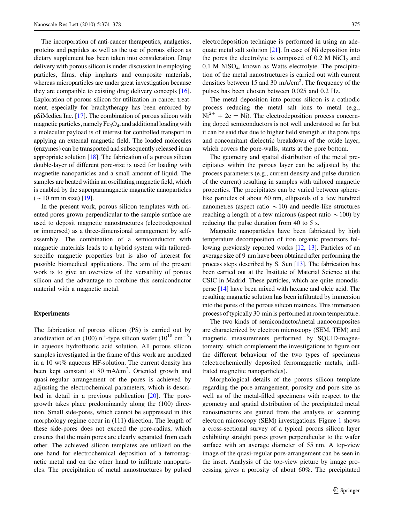The incorporation of anti-cancer therapeutics, analgetics, proteins and peptides as well as the use of porous silicon as dietary supplement has been taken into consideration. Drug delivery with porous silicon is under discussion in employing particles, films, chip implants and composite materials, whereas microparticles are under great investigation because they are compatible to existing drug delivery concepts [[16](#page-4-0)]. Exploration of porous silicon for utilization in cancer treatment, especially for brachytherapy has been enforced by pSiMedica Inc. [[17](#page-4-0)]. The combination of porous silicon with magnetic particles, namely  $Fe<sub>3</sub>O<sub>4</sub>$ , and additional loading with a molecular payload is of interest for controlled transport in applying an external magnetic field. The loaded molecules (enzymes) can be transported and subsequently released in an appropriate solution [\[18](#page-4-0)]. The fabrication of a porous silicon double-layer of different pore-size is used for loading with magnetite nanoparticles and a small amount of liquid. The samples are heated within an oscillating magnetic field, which is enabled by the superparamagnetic magnetite nanoparticles  $({\sim}10 \text{ nm}$  in size) [[19](#page-4-0)].

In the present work, porous silicon templates with oriented pores grown perpendicular to the sample surface are used to deposit magnetic nanostructures (electrodeposited or immersed) as a three-dimensional arrangement by selfassembly. The combination of a semiconductor with magnetic materials leads to a hybrid system with tailoredspecific magnetic properties but is also of interest for possible biomedical applications. The aim of the present work is to give an overview of the versatility of porous silicon and the advantage to combine this semiconductor material with a magnetic metal.

## Experiments

The fabrication of porous silicon (PS) is carried out by anodization of an (100) n<sup>+</sup>-type silicon wafer ( $10^{18}$  cm<sup>-3</sup>) in aqueous hydrofluoric acid solution. All porous silicon samples investigated in the frame of this work are anodized in a 10 wt% aqueous HF-solution. The current density has been kept constant at 80 mA/cm<sup>2</sup>. Oriented growth and quasi-regular arrangement of the pores is achieved by adjusting the electrochemical parameters, which is described in detail in a previous publication [\[20](#page-4-0)]. The poregrowth takes place predominantly along the (100) direction. Small side-pores, which cannot be suppressed in this morphology regime occur in (111) direction. The length of these side-pores does not exceed the pore-radius, which ensures that the main pores are clearly separated from each other. The achieved silicon templates are utilized on the one hand for electrochemical deposition of a ferromagnetic metal and on the other hand to infiltrate nanoparticles. The precipitation of metal nanostructures by pulsed electrodeposition technique is performed in using an adequate metal salt solution [[21\]](#page-4-0). In case of Ni deposition into the pores the electrolyte is composed of  $0.2$  M NiCl<sub>2</sub> and  $0.1$  M NiSO<sub>4</sub>, known as Watts electrolyte. The precipitation of the metal nanostructures is carried out with current densities between 15 and 30 mA/cm<sup>2</sup>. The frequency of the pulses has been chosen between 0.025 and 0.2 Hz.

The metal deposition into porous silicon is a cathodic process reducing the metal salt ions to metal (e.g.,  $Ni^{2+} + 2e = Ni$ ). The electrodeposition process concerning doped semiconductors is not well understood so far but it can be said that due to higher field strength at the pore tips and concomitant dielectric breakdown of the oxide layer, which covers the pore-walls, starts at the pore bottom.

The geometry and spatial distribution of the metal precipitates within the porous layer can be adjusted by the process parameters (e.g., current density and pulse duration of the current) resulting in samples with tailored magnetic properties. The precipitates can be varied between spherelike particles of about 60 nm, ellipsoids of a few hundred nanometres (aspect ratio  $\sim$  10) and needle-like structures reaching a length of a few microns (aspect ratio  $\sim$  100) by reducing the pulse duration from 40 to 5 s.

Magnetite nanoparticles have been fabricated by high temperature decomposition of iron organic precursors following previously reported works [[12,](#page-4-0) [13\]](#page-4-0). Particles of an average size of 9 nm have been obtained after performing the process steps described by S. Sun [\[13\]](#page-4-0). The fabrication has been carried out at the Institute of Material Science at the CSIC in Madrid. These particles, which are quite monodisperse [[14](#page-4-0)] have been mixed with hexane and oleic acid. The resulting magnetic solution has been infiltrated by immersion into the pores of the porous silicon matrices. This immersion process of typically 30 min is performed at room temperature.

The two kinds of semiconductor/metal nanocomposites are characterized by electron microscopy (SEM, TEM) and magnetic measurements performed by SQUID-magnetometry, which complement the investigations to figure out the different behaviour of the two types of specimens (electrochemically deposited ferromagnetic metals, infiltrated magnetite nanoparticles).

Morphological details of the porous silicon template regarding the pore-arrangement, porosity and pore-size as well as of the metal-filled specimens with respect to the geometry and spatial distribution of the precipitated metal nanostructures are gained from the analysis of scanning electron microscopy (SEM) investigations. Figure [1](#page-2-0) shows a cross-sectional survey of a typical porous silicon layer exhibiting straight pores grown perpendicular to the wafer surface with an average diameter of 55 nm. A top-view image of the quasi-regular pore-arrangement can be seen in the inset. Analysis of the top-view picture by image processing gives a porosity of about 60%. The precipitated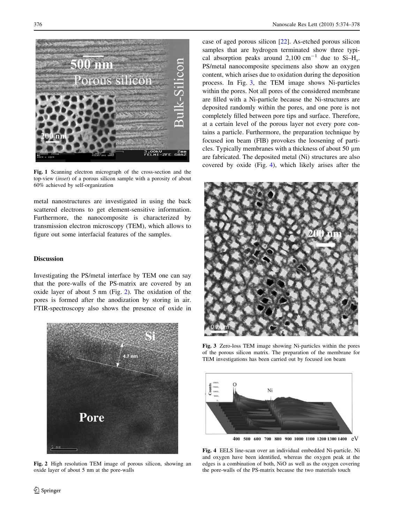<span id="page-2-0"></span>

Fig. 1 Scanning electron micrograph of the cross-section and the top-view (inset) of a porous silicon sample with a porosity of about 60% achieved by self-organization

metal nanostructures are investigated in using the back scattered electrons to get element-sensitive information. Furthermore, the nanocomposite is characterized by transmission electron microscopy (TEM), which allows to figure out some interfacial features of the samples.

# Discussion

Investigating the PS/metal interface by TEM one can say that the pore-walls of the PS-matrix are covered by an oxide layer of about 5 nm (Fig. 2). The oxidation of the pores is formed after the anodization by storing in air. FTIR-spectroscopy also shows the presence of oxide in



Fig. 2 High resolution TEM image of porous silicon, showing an oxide layer of about 5 nm at the pore-walls

case of aged porous silicon [\[22](#page-4-0)]. As-etched porous silicon samples that are hydrogen terminated show three typical absorption peaks around 2,100 cm<sup>-1</sup> due to Si-H<sub>x</sub>. PS/metal nanocomposite specimens also show an oxygen content, which arises due to oxidation during the deposition process. In Fig. 3, the TEM image shows Ni-particles within the pores. Not all pores of the considered membrane are filled with a Ni-particle because the Ni-structures are deposited randomly within the pores, and one pore is not completely filled between pore tips and surface. Therefore, at a certain level of the porous layer not every pore contains a particle. Furthermore, the preparation technique by focused ion beam (FIB) provokes the loosening of particles. Typically membranes with a thickness of about 50 *l*m are fabricated. The deposited metal (Ni) structures are also covered by oxide (Fig. 4), which likely arises after the



Fig. 3 Zero-loss TEM image showing Ni-particles within the pores of the porous silicon matrix. The preparation of the membrane for TEM investigations has been carried out by focused ion beam



Fig. 4 EELS line-scan over an individual embedded Ni-particle. Ni and oxygen have been identified, whereas the oxygen peak at the edges is a combination of both, NiO as well as the oxygen covering the pore-walls of the PS-matrix because the two materials touch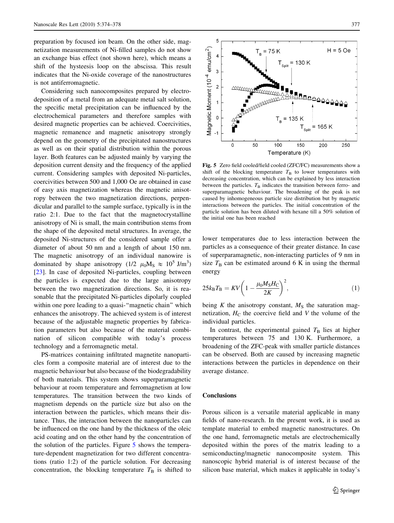preparation by focused ion beam. On the other side, magnetization measurements of Ni-filled samples do not show an exchange bias effect (not shown here), which means a shift of the hysteesis loop on the abscissa. This result indicates that the Ni-oxide coverage of the nanostructures is not antiferromagnetic.

Considering such nanocomposites prepared by electrodeposition of a metal from an adequate metal salt solution, the specific metal precipitation can be influenced by the electrochemical parameters and therefore samples with desired magnetic properties can be achieved. Coercivities, magnetic remanence and magnetic anisotropy strongly depend on the geometry of the precipitated nanostructures as well as on their spatial distribution within the porous layer. Both features can be adjusted mainly by varying the deposition current density and the frequency of the applied current. Considering samples with deposited Ni-particles, coercivities between 500 and 1,000 Oe are obtained in case of easy axis magnetization whereas the magnetic anisotropy between the two magnetization directions, perpendicular and parallel to the sample surface, typically is in the ratio 2:1. Due to the fact that the magnetocrystalline anisotropy of Ni is small, the main contribution stems from the shape of the deposited metal structures. In average, the deposited Ni-structures of the considered sample offer a diameter of about 50 nm and a length of about 150 nm. The magnetic anisotropy of an individual nanowire is dominated by shape anisotropy (1/2  $\mu_0 M_s \approx 10^5$  J/m<sup>3</sup>) [\[23](#page-4-0)]. In case of deposited Ni-particles, coupling between the particles is expected due to the large anisotropy between the two magnetization directions. So, it is reasonable that the precipitated Ni-particles dipolarly coupled within one pore leading to a quasi-''magnetic chain'' which enhances the anisotropy. The achieved system is of interest because of the adjustable magnetic properties by fabrication parameters but also because of the material combination of silicon compatible with today's process technology and a ferromagnetic metal.

PS-matrices containing infiltrated magnetite nanoparticles form a composite material are of interest due to the magnetic behaviour but also because of the biodegradability of both materials. This system shows superparamagnetic behaviour at room temperature and ferromagnetism at low temperatures. The transition between the two kinds of magnetism depends on the particle size but also on the interaction between the particles, which means their distance. Thus, the interaction between the nanoparticles can be influenced on the one hand by the thickness of the oleic acid coating and on the other hand by the concentration of the solution of the particles. Figure 5 shows the temperature-dependent magnetization for two different concentrations (ratio 1:2) of the particle solution. For decreasing concentration, the blocking temperature  $T_B$  is shifted to



Fig. 5 Zero field cooled/field cooled (ZFC/FC) measurements show a shift of the blocking temperature  $T_B$  to lower temperatures with decreasing concentration, which can be explained by less interaction between the particles.  $T<sub>B</sub>$  indicates the transition between ferro- and superparamagnetic behaviour. The broadening of the peak is not caused by inhomogeneous particle size distribution but by magnetic interactions between the particles. The initial concentration of the particle solution has been diluted with hexane till a 50% solution of the initial one has been reached

lower temperatures due to less interaction between the particles as a consequence of their greater distance. In case of superparamagnetic, non-interacting particles of 9 nm in size  $T_\text{B}$  can be estimated around 6 K in using the thermal energy

$$
25k_{\rm B}T_{\rm B} = KV \left(1 - \frac{\mu_0 M_{\rm S}H_{\rm C}}{2K}\right)^2, \tag{1}
$$

being K the anisotropy constant,  $M<sub>S</sub>$  the saturation magnetization,  $H_C$  the coercive field and V the volume of the individual particles.

In contrast, the experimental gained  $T<sub>B</sub>$  lies at higher temperatures between 75 and 130 K. Furthermore, a broadening of the ZFC-peak with smaller particle distances can be observed. Both are caused by increasing magnetic interactions between the particles in dependence on their average distance.

#### **Conclusions**

Porous silicon is a versatile material applicable in many fields of nano-research. In the present work, it is used as template material to embed magnetic nanostructures. On the one hand, ferromagnetic metals are electrochemically deposited within the pores of the matrix leading to a semiconducting/magnetic nanocomposite system. This nanoscopic hybrid material is of interest because of the silicon base material, which makes it applicable in today's